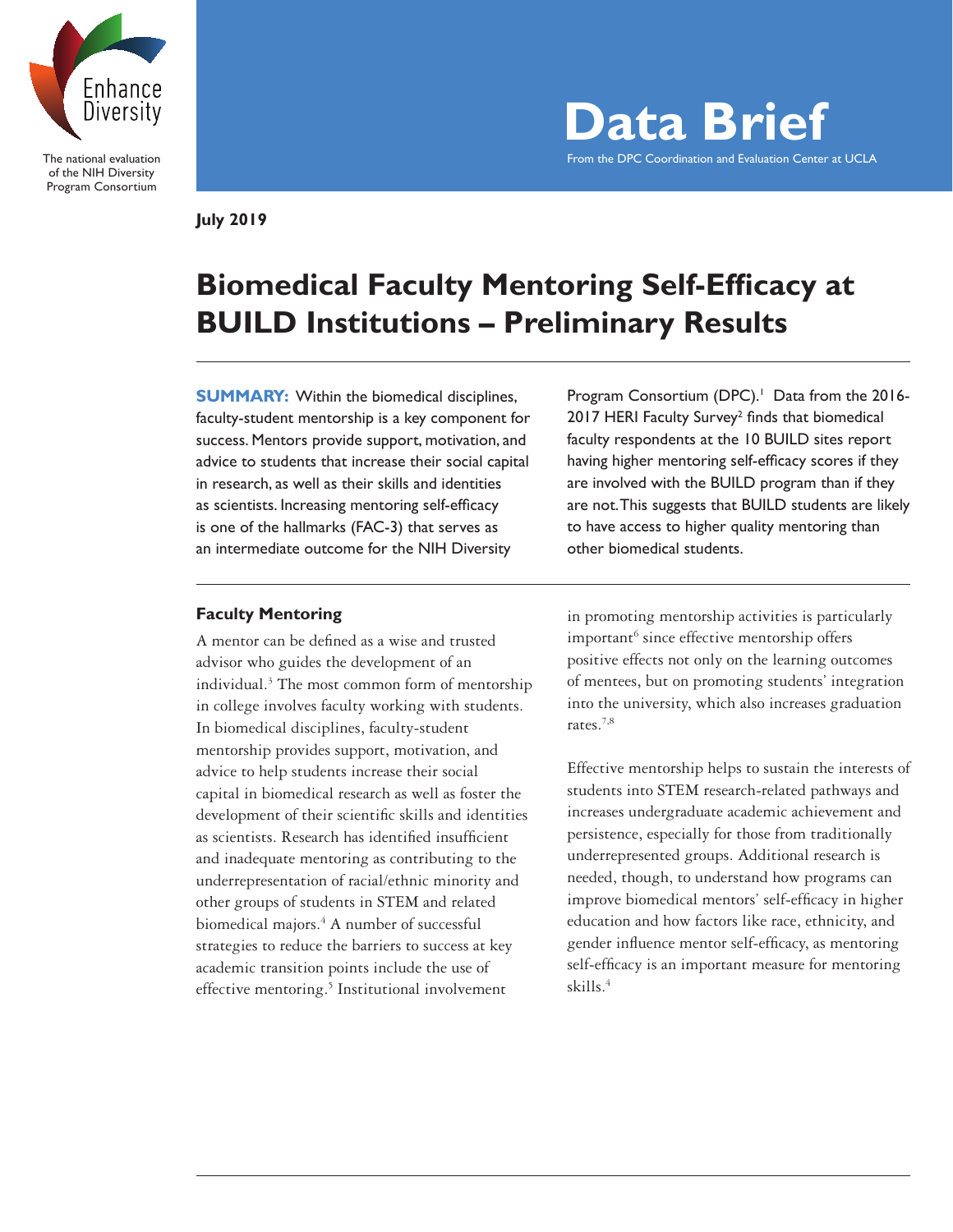

The national evaluation of the NIH Diversity Program Consortium

**Data Brief** From the DPC Coordination and Evaluation Center at UCLA

**July 2019**

# **Biomedical Faculty Mentoring Self-Efficacy at BUILD Institutions – Preliminary Results**

**SUMMARY:** Within the biomedical disciplines, faculty-student mentorship is a key component for success. Mentors provide support, motivation, and advice to students that increase their social capital in research, as well as their skills and identities as scientists. Increasing mentoring self-efficacy is one of the hallmarks (FAC-3) that serves as an intermediate outcome for the NIH Diversity

# **Faculty Mentoring**

A mentor can be defined as a wise and trusted advisor who guides the development of an individual.3 The most common form of mentorship in college involves faculty working with students. In biomedical disciplines, faculty-student mentorship provides support, motivation, and advice to help students increase their social capital in biomedical research as well as foster the development of their scientific skills and identities as scientists. Research has identified insufficient and inadequate mentoring as contributing to the underrepresentation of racial/ethnic minority and other groups of students in STEM and related biomedical majors.<sup>4</sup> A number of successful strategies to reduce the barriers to success at key academic transition points include the use of effective mentoring.<sup>5</sup> Institutional involvement

Program Consortium (DPC).<sup>1</sup> Data from the 2016-2017 HERI Faculty Survey<sup>2</sup> finds that biomedical faculty respondents at the 10 BUILD sites report having higher mentoring self-efficacy scores if they are involved with the BUILD program than if they are not. This suggests that BUILD students are likely to have access to higher quality mentoring than other biomedical students.

in promoting mentorship activities is particularly important<sup>6</sup> since effective mentorship offers positive effects not only on the learning outcomes of mentees, but on promoting students' integration into the university, which also increases graduation rates.7,8

Effective mentorship helps to sustain the interests of students into STEM research-related pathways and increases undergraduate academic achievement and persistence, especially for those from traditionally underrepresented groups. Additional research is needed, though, to understand how programs can improve biomedical mentors' self-efficacy in higher education and how factors like race, ethnicity, and gender influence mentor self-efficacy, as mentoring self-efficacy is an important measure for mentoring skills.4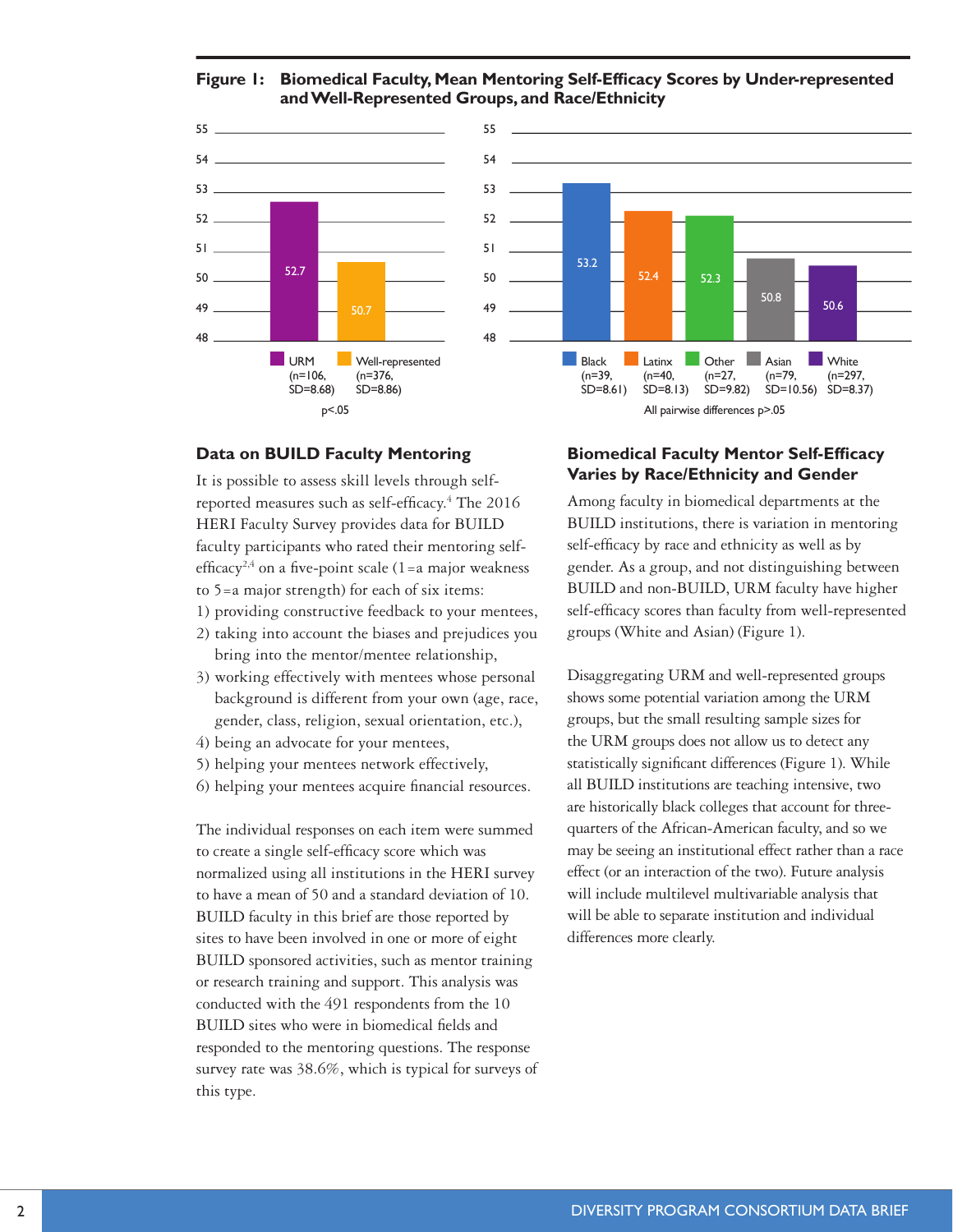**Figure 1: Biomedical Faculty, Mean Mentoring Self-Effcacy Scores by Under-represented and Well-Represented Groups, and Race/Ethnicity**





### **Data on BUILD Faculty Mentoring**

It is possible to assess skill levels through selfreported measures such as self-efficacy.<sup>4</sup> The 2016 HERI Faculty Survey provides data for BUILD faculty participants who rated their mentoring selfefficacy<sup>2,4</sup> on a five-point scale  $(1=a \text{ major weakness})$ to 5=a major strength) for each of six items:

- 1) providing constructive feedback to your mentees,
- 2) taking into account the biases and prejudices you bring into the mentor/mentee relationship,
- 3) working effectively with mentees whose personal background is different from your own (age, race, gender, class, religion, sexual orientation, etc.),
- 4) being an advocate for your mentees,
- 5) helping your mentees network effectively,
- 6) helping your mentees acquire financial resources.

The individual responses on each item were summed to create a single self-efficacy score which was normalized using all institutions in the HERI survey to have a mean of 50 and a standard deviation of 10. BUILD faculty in this brief are those reported by sites to have been involved in one or more of eight BUILD sponsored activities, such as mentor training or research training and support. This analysis was conducted with the 491 respondents from the 10 BUILD sites who were in biomedical fields and responded to the mentoring questions. The response survey rate was 38.6%, which is typical for surveys of this type.

### **Biomedical Faculty Mentor Self-Efficacy Varies by Race/Ethnicity and Gender**

Among faculty in biomedical departments at the BUILD institutions, there is variation in mentoring self-efficacy by race and ethnicity as well as by gender. As a group, and not distinguishing between BUILD and non-BUILD, URM faculty have higher self-efficacy scores than faculty from well-represented groups (White and Asian) (Figure 1).

Disaggregating URM and well-represented groups shows some potential variation among the URM groups, but the small resulting sample sizes for the URM groups does not allow us to detect any statistically significant differences (Figure 1). While all BUILD institutions are teaching intensive, two are historically black colleges that account for threequarters of the African-American faculty, and so we may be seeing an institutional effect rather than a race effect (or an interaction of the two). Future analysis will include multilevel multivariable analysis that will be able to separate institution and individual differences more clearly.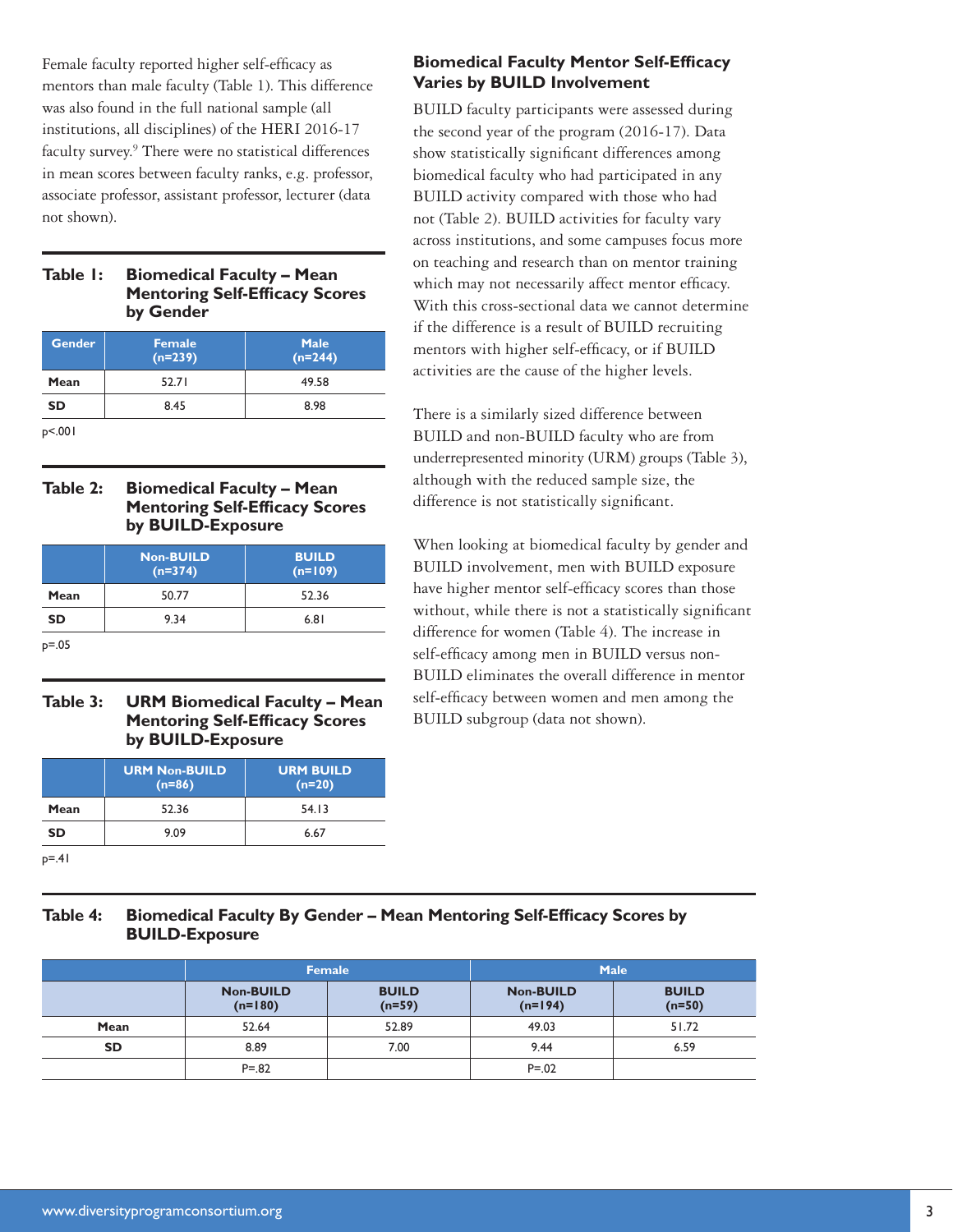Female faculty reported higher self-efficacy as mentors than male faculty (Table 1). This difference was also found in the full national sample (all institutions, all disciplines) of the HERI 2016-17 faculty survey.<sup>9</sup> There were no statistical differences in mean scores between faculty ranks, e.g. professor, associate professor, assistant professor, lecturer (data not shown).

### **Table 1: Biomedical Faculty – Mean Mentoring Self-Efficacy Scores by Gender**

| <b>Gender</b>     | Female<br>$(n=239)$ | <b>Male</b><br>$(n=244)$ |  |
|-------------------|---------------------|--------------------------|--|
| Mean              | 52.71               | 49.58                    |  |
| 8.45<br><b>SD</b> |                     | 8.98                     |  |
| p<.001            |                     |                          |  |

### **Table 2: Biomedical Faculty – Mean Mentoring Self-Efficacy Scores by BUILD-Exposure**

|           | Non-BUILD<br>$(n=374)$ | <b>BUILD</b><br>$(n=109)$ |  |
|-----------|------------------------|---------------------------|--|
| Mean      | 50.77                  | 52.36                     |  |
| <b>SD</b> | 9.34                   | 6.81                      |  |
|           |                        |                           |  |

p=.05

# **Table 3: URM Biomedical Faculty – Mean Mentoring Self-Efficacy Scores by BUILD-Exposure**

|      | <b>URM Non-BUILD</b><br>$(n=86)$ | <b>URM BUILD</b><br>$(n=20)$ |  |
|------|----------------------------------|------------------------------|--|
| Mean | 52.36                            | 54.13                        |  |
| SD   | 9.09                             | 6.67                         |  |

 $p = .41$ 

# **Biomedical Faculty Mentor Self-Efficacy Varies by BUILD Involvement**

BUILD faculty participants were assessed during the second year of the program (2016-17). Data show statistically significant differences among biomedical faculty who had participated in any BUILD activity compared with those who had not (Table 2). BUILD activities for faculty vary across institutions, and some campuses focus more on teaching and research than on mentor training which may not necessarily affect mentor efficacy. With this cross-sectional data we cannot determine if the difference is a result of BUILD recruiting mentors with higher self-efficacy, or if BUILD activities are the cause of the higher levels.

There is a similarly sized difference between BUILD and non-BUILD faculty who are from underrepresented minority (URM) groups (Table 3), although with the reduced sample size, the difference is not statistically significant.

When looking at biomedical faculty by gender and BUILD involvement, men with BUILD exposure have higher mentor self-efficacy scores than those without, while there is not a statistically significant difference for women (Table 4). The increase in self-efficacy among men in BUILD versus non-BUILD eliminates the overall difference in mentor self-efficacy between women and men among the BUILD subgroup (data not shown).

# Table 4: **Biomedical Faculty By Gender - Mean Mentoring Self-Efficacy Scores by BUILD-Exposure**

|           | <b>Female</b>                 |                          | <b>Male</b>                   |                          |
|-----------|-------------------------------|--------------------------|-------------------------------|--------------------------|
|           | <b>Non-BUILD</b><br>$(n=180)$ | <b>BUILD</b><br>$(n=59)$ | <b>Non-BUILD</b><br>$(n=194)$ | <b>BUILD</b><br>$(n=50)$ |
| Mean      | 52.64                         | 52.89                    | 49.03                         | 51.72                    |
| <b>SD</b> | 8.89                          | 7.00                     | 9.44                          | 6.59                     |
|           | $P = .82$                     |                          | $P = 0.02$                    |                          |